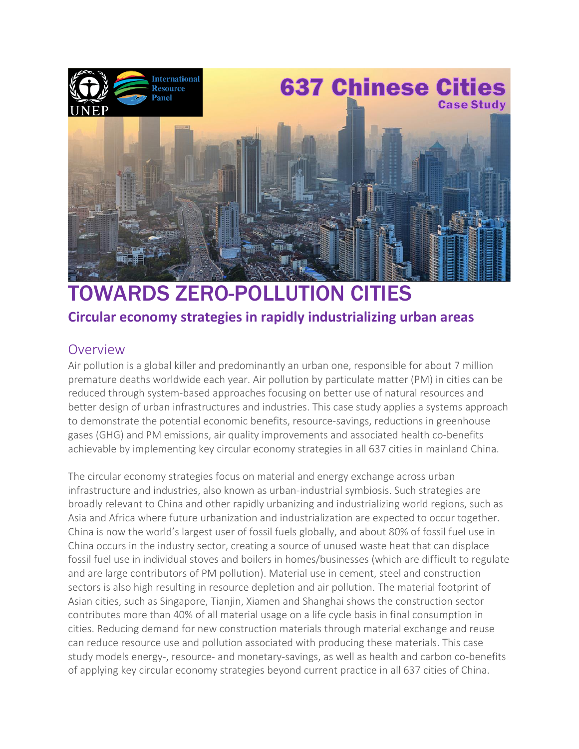

# TOWARDS ZERO-POLLUTION CITIES

#### **Circular economy strategies in rapidly industrializing urban areas**

#### Overview

Air pollution is a global killer and predominantly an urban one, responsible for about 7 million premature deaths worldwide each year. Air pollution by particulate matter (PM) in cities can be reduced through system-based approaches focusing on better use of natural resources and better design of urban infrastructures and industries. This case study applies a systems approach to demonstrate the potential economic benefits, resource-savings, reductions in greenhouse gases (GHG) and PM emissions, air quality improvements and associated health co-benefits achievable by implementing key circular economy strategies in all 637 cities in mainland China.

The circular economy strategies focus on material and energy exchange across urban infrastructure and industries, also known as urban-industrial symbiosis. Such strategies are broadly relevant to China and other rapidly urbanizing and industrializing world regions, such as Asia and Africa where future urbanization and industrialization are expected to occur together. China is now the world's largest user of fossil fuels globally, and about 80% of fossil fuel use in China occurs in the industry sector, creating a source of unused waste heat that can displace fossil fuel use in individual stoves and boilers in homes/businesses (which are difficult to regulate and are large contributors of PM pollution). Material use in cement, steel and construction sectors is also high resulting in resource depletion and air pollution. The material footprint of Asian cities, such as Singapore, Tianjin, Xiamen and Shanghai shows the construction sector contributes more than 40% of all material usage on a life cycle basis in final consumption in cities. Reducing demand for new construction materials through material exchange and reuse can reduce resource use and pollution associated with producing these materials. This case study models energy-, resource- and monetary-savings, as well as health and carbon co-benefits of applying key circular economy strategies beyond current practice in all 637 cities of China.